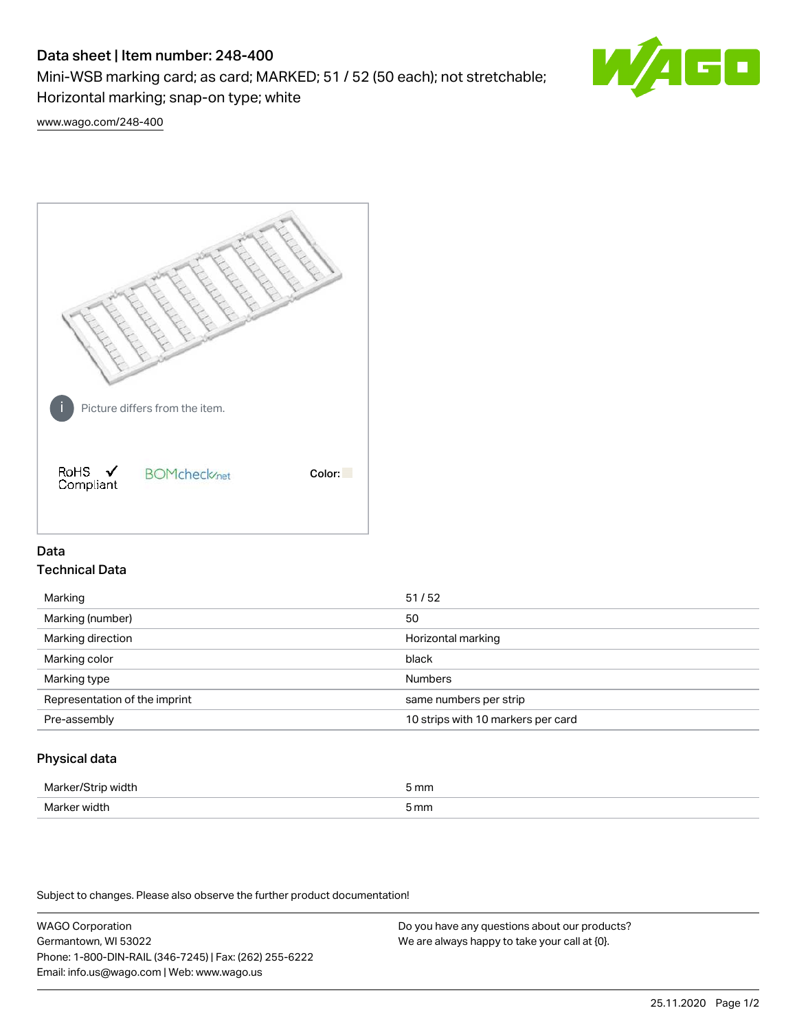# Data sheet | Item number: 248-400

Mini-WSB marking card; as card; MARKED; 51 / 52 (50 each); not stretchable; Horizontal marking; snap-on type; white



[www.wago.com/248-400](http://www.wago.com/248-400)



## Data Technical Data

| Marking                       | 51/52                              |
|-------------------------------|------------------------------------|
| Marking (number)              | 50                                 |
| Marking direction             | Horizontal marking                 |
| Marking color                 | black                              |
| Marking type                  | <b>Numbers</b>                     |
| Representation of the imprint | same numbers per strip             |
| Pre-assembly                  | 10 strips with 10 markers per card |
|                               |                                    |

## Physical data

| Marker<br><b>WINTI</b><br>י | 5 mm |
|-----------------------------|------|
| Marker width                | 5 mm |

Subject to changes. Please also observe the further product documentation!

WAGO Corporation Germantown, WI 53022 Phone: 1-800-DIN-RAIL (346-7245) | Fax: (262) 255-6222 Email: info.us@wago.com | Web: www.wago.us Do you have any questions about our products? We are always happy to take your call at {0}.

25.11.2020 Page 1/2